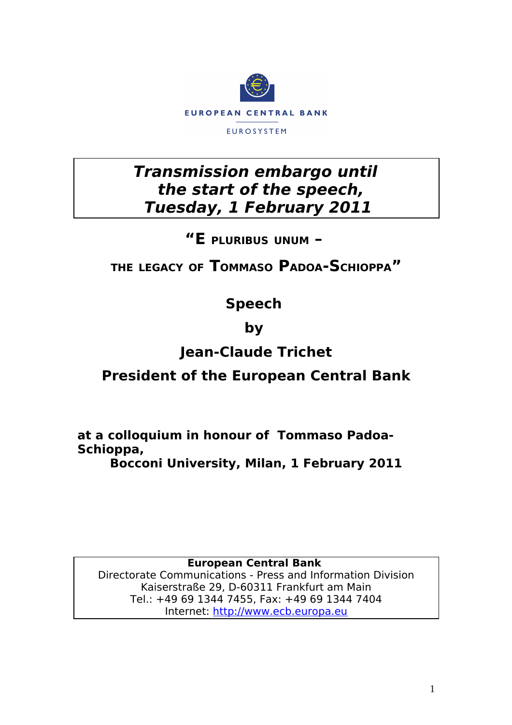

## **Transmission embargo until the start of the speech, Tuesday, 1 February 2011**

#### **"E PLURIBUS UNUM –**

## **THE LEGACY OF TOMMASO PADOA-SCHIOPPA"**

## **Speech**

## **by**

# **Jean-Claude Trichet**

### **President of the European Central Bank**

**at a colloquium in honour of Tommaso Padoa-Schioppa,**

**Bocconi University, Milan, 1 February 2011**

**European Central Bank** 

Directorate Communications - Press and Information Division Kaiserstraße 29, D-60311 Frankfurt am Main Tel.: +49 69 1344 7455, Fax: +49 69 1344 7404 Internet: [http://www.ecb.europa.eu](http://www.ecb.europa.eu/)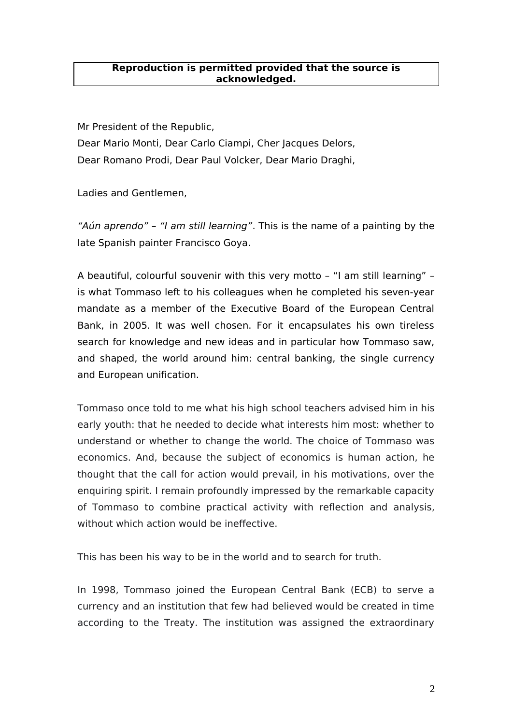#### **Reproduction is permitted provided that the source is acknowledged.**

Mr President of the Republic, Dear Mario Monti, Dear Carlo Ciampi, Cher Jacques Delors, Dear Romano Prodi, Dear Paul Volcker, Dear Mario Draghi,

Ladies and Gentlemen,

"Aún aprendo" – "I am still learning". This is the name of a painting by the late Spanish painter Francisco Goya.

A beautiful, colourful souvenir with this very motto – "I am still learning" – is what Tommaso left to his colleagues when he completed his seven-year mandate as a member of the Executive Board of the European Central Bank, in 2005. It was well chosen. For it encapsulates his own tireless search for knowledge and new ideas and in particular how Tommaso saw, and shaped, the world around him: central banking, the single currency and European unification.

Tommaso once told to me what his high school teachers advised him in his early youth: that he needed to decide what interests him most: whether to understand or whether to change the world. The choice of Tommaso was economics. And, because the subject of economics is human action, he thought that the call for action would prevail, in his motivations, over the enquiring spirit. I remain profoundly impressed by the remarkable capacity of Tommaso to combine practical activity with reflection and analysis, without which action would be ineffective.

This has been his way to be in the world and to search for truth.

In 1998, Tommaso joined the European Central Bank (ECB) to serve a currency and an institution that few had believed would be created in time according to the Treaty. The institution was assigned the extraordinary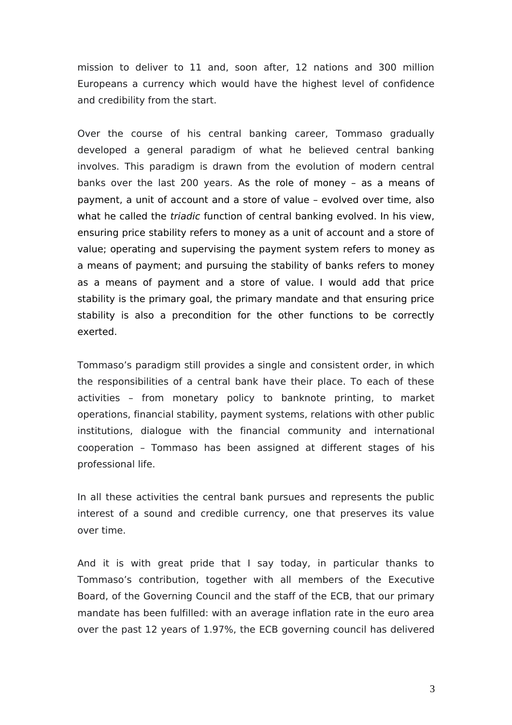mission to deliver to 11 and, soon after, 12 nations and 300 million Europeans a currency which would have the highest level of confidence and credibility from the start.

Over the course of his central banking career, Tommaso gradually developed a general paradigm of what he believed central banking involves. This paradigm is drawn from the evolution of modern central banks over the last 200 years. As the role of money – as a means of payment, a unit of account and a store of value – evolved over time, also what he called the *triadic* function of central banking evolved. In his view, ensuring price stability refers to money as a unit of account and a store of value; operating and supervising the payment system refers to money as a means of payment; and pursuing the stability of banks refers to money as a means of payment and a store of value. I would add that price stability is the primary goal, the primary mandate and that ensuring price stability is also a precondition for the other functions to be correctly exerted.

Tommaso's paradigm still provides a single and consistent order, in which the responsibilities of a central bank have their place. To each of these activities – from monetary policy to banknote printing, to market operations, financial stability, payment systems, relations with other public institutions, dialogue with the financial community and international cooperation – Tommaso has been assigned at different stages of his professional life.

In all these activities the central bank pursues and represents the public interest of a sound and credible currency, one that preserves its value over time.

And it is with great pride that I say today, in particular thanks to Tommaso's contribution, together with all members of the Executive Board, of the Governing Council and the staff of the ECB, that our primary mandate has been fulfilled: with an average inflation rate in the euro area over the past 12 years of 1.97%, the ECB governing council has delivered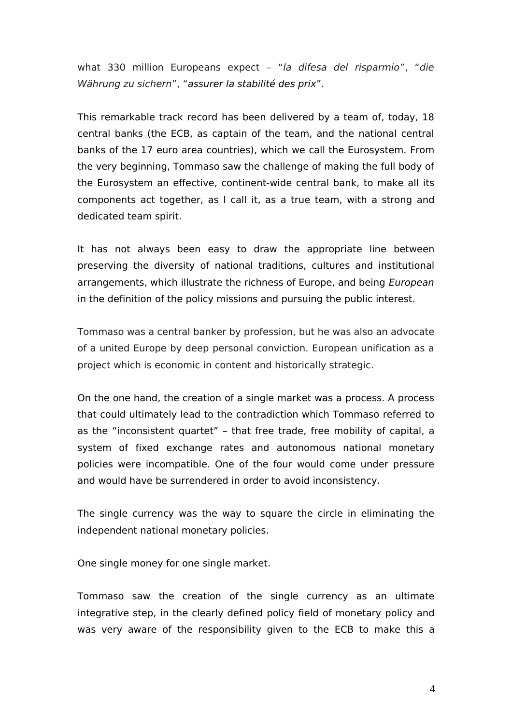what 330 million Europeans expect – "la difesa del risparmio", "die Währung zu sichern", "assurer la stabilité des prix".

This remarkable track record has been delivered by a team of, today, 18 central banks (the ECB, as captain of the team, and the national central banks of the 17 euro area countries), which we call the Eurosystem. From the very beginning, Tommaso saw the challenge of making the full body of the Eurosystem an effective, continent-wide central bank, to make all its components act together, as I call it, as a true team, with a strong and dedicated team spirit.

It has not always been easy to draw the appropriate line between preserving the diversity of national traditions, cultures and institutional arrangements, which illustrate the richness of Europe, and being European in the definition of the policy missions and pursuing the public interest.

Tommaso was a central banker by profession, but he was also an advocate of a united Europe by deep personal conviction. European unification as a project which is economic in content and historically strategic.

On the one hand, the creation of a single market was a process. A process that could ultimately lead to the contradiction which Tommaso referred to as the "inconsistent quartet" – that free trade, free mobility of capital, a system of fixed exchange rates and autonomous national monetary policies were incompatible. One of the four would come under pressure and would have be surrendered in order to avoid inconsistency.

The single currency was the way to square the circle in eliminating the independent national monetary policies.

One single money for one single market.

Tommaso saw the creation of the single currency as an ultimate integrative step, in the clearly defined policy field of monetary policy and was very aware of the responsibility given to the ECB to make this a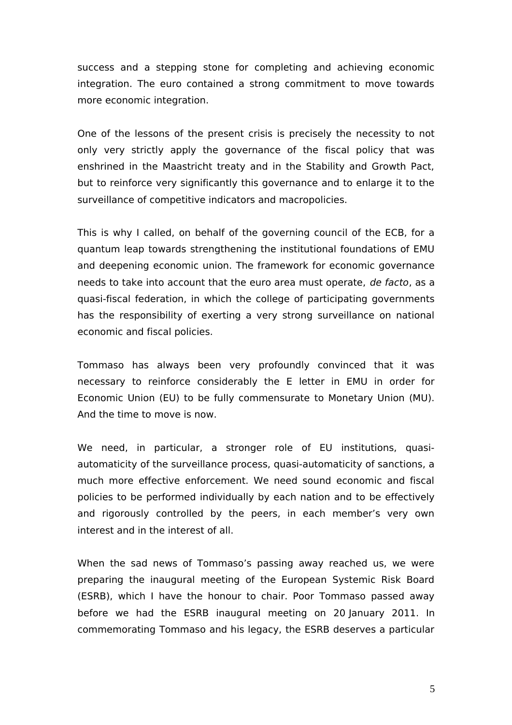success and a stepping stone for completing and achieving economic integration. The euro contained a strong commitment to move towards more economic integration.

One of the lessons of the present crisis is precisely the necessity to not only very strictly apply the governance of the fiscal policy that was enshrined in the Maastricht treaty and in the Stability and Growth Pact, but to reinforce very significantly this governance and to enlarge it to the surveillance of competitive indicators and macropolicies.

This is why I called, on behalf of the governing council of the ECB, for a quantum leap towards strengthening the institutional foundations of EMU and deepening economic union. The framework for economic governance needs to take into account that the euro area must operate, de facto, as a quasi-fiscal federation, in which the college of participating governments has the responsibility of exerting a very strong surveillance on national economic and fiscal policies.

Tommaso has always been very profoundly convinced that it was necessary to reinforce considerably the E letter in EMU in order for Economic Union (EU) to be fully commensurate to Monetary Union (MU). And the time to move is now.

We need, in particular, a stronger role of EU institutions, quasiautomaticity of the surveillance process, quasi-automaticity of sanctions, a much more effective enforcement. We need sound economic and fiscal policies to be performed individually by each nation and to be effectively and rigorously controlled by the peers, in each member's very own interest and in the interest of all.

When the sad news of Tommaso's passing away reached us, we were preparing the inaugural meeting of the European Systemic Risk Board (ESRB), which I have the honour to chair. Poor Tommaso passed away before we had the ESRB inaugural meeting on 20 January 2011. In commemorating Tommaso and his legacy, the ESRB deserves a particular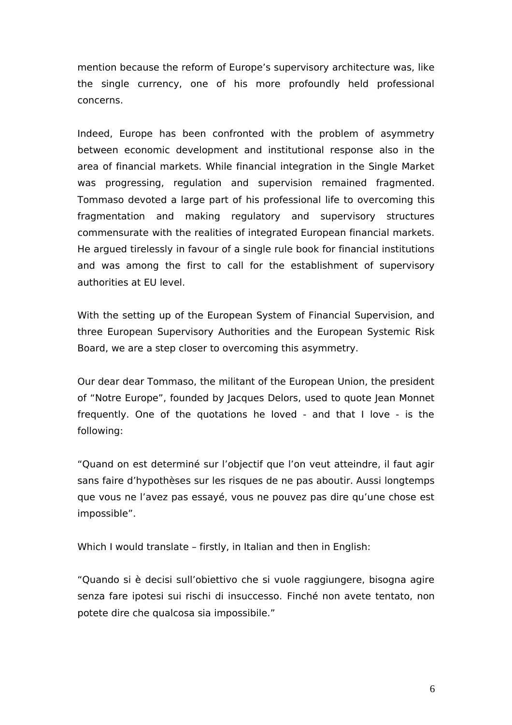mention because the reform of Europe's supervisory architecture was, like the single currency, one of his more profoundly held professional concerns.

Indeed, Europe has been confronted with the problem of asymmetry between economic development and institutional response also in the area of financial markets. While financial integration in the Single Market was progressing, regulation and supervision remained fragmented. Tommaso devoted a large part of his professional life to overcoming this fragmentation and making regulatory and supervisory structures commensurate with the realities of integrated European financial markets. He argued tirelessly in favour of a single rule book for financial institutions and was among the first to call for the establishment of supervisory authorities at EU level.

With the setting up of the European System of Financial Supervision, and three European Supervisory Authorities and the European Systemic Risk Board, we are a step closer to overcoming this asymmetry.

Our dear dear Tommaso, the militant of the European Union, the president of "Notre Europe", founded by Jacques Delors, used to quote Jean Monnet frequently. One of the quotations he loved - and that I love - is the following:

"Quand on est determiné sur l'objectif que l'on veut atteindre, il faut agir sans faire d'hypothèses sur les risques de ne pas aboutir. Aussi longtemps que vous ne l'avez pas essayé, vous ne pouvez pas dire qu'une chose est impossible".

Which I would translate – firstly, in Italian and then in English:

"Quando si è decisi sull'obiettivo che si vuole raggiungere, bisogna agire senza fare ipotesi sui rischi di insuccesso. Finché non avete tentato, non potete dire che qualcosa sia impossibile."